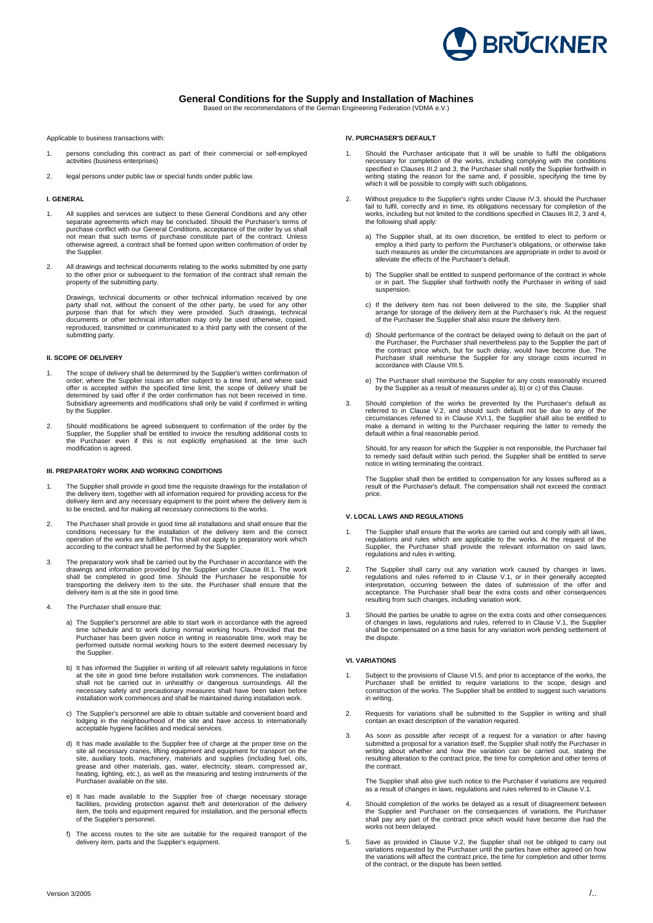

# **General Conditions for the Supply and Installation of Machines**

Based on the recommendations of the German Engineering Federation (VDMA e.V.)

Applicable to business transactions with:

- 1. persons concluding this contract as part of their commercial or self-employed activities (business enterprises)
- 2. legal persons under public law or special funds under public law.

### **I. GENERAL**

- 1. All supplies and services are subject to these General Conditions and any other separate agreements which may be concluded. Should the Purchaser's terms of purchase conflict with our General Conditions, acceptance of the order by us shall not mean that such terms of purchase constitute part of the contract. Unless otherwise agreed, a contract shall be formed upon written confirmation of order by the Supplier
- 2. All drawings and technical documents relating to the works submitted by one party to the other prior or subsequent to the formation of the contract shall remain the property of the submitting party.

Drawings, technical documents or other technical information received by one<br>party shall not, without the consent of the other party, be used for any other<br>purpose than that for which they were provided. Such drawings, tec reproduced, transmitted or communicated to a third party with the consent of the submitting party.

## **II. SCOPE OF DELIVERY**

- 1. The scope of delivery shall be determined by the Supplier's written confirmation of order; where the Supplier issues an offer subject to a time limit, and where said offer is accepted within the specified time limit, the scope of delivery shall be determined by said offer if the order confirmation has not been received in time. Subsidiary agreements and modifications shall only be valid if confirmed in writing by the Supplier.
- 2. Should modifications be agreed subsequent to confirmation of the order by the Supplier, the Supplier shall be entitled to invoice the resulting additional costs to the Purchaser even if this is not explicitly emphasised at the time such modification is agreed.

#### **III. PREPARATORY WORK AND WORKING CONDITIONS**

- 1. The Supplier shall provide in good time the requisite drawings for the installation of the delivery item, together with all information required for providing access for the delivery item and any necessary equipment to the point where the delivery item is to be erected, and for making all necessary connections to the works.
- 2. The Purchaser shall provide in good time all installations and shall ensure that the<br>conditions necessary for the installation of the delivery item and the correct<br>operation of the works are fulfilled. This shall not a according to the contract shall be performed by the Supplier.
- 3. The preparatory work shall be carried out by the Purchaser in accordance with the drawings and information provided by the Supplier under Clause IIII. The work<br>shall be completed in good time. Should the Purchaser be re delivery item is at the site in good time.
- 4. The Purchaser shall ensure that:
	- a) The Supplier's personnel are able to start work in accordance with the agreed the schedule and to work during normal working hours. Provided that the Purchaser has been given notice in writing in reasonable time, work may be performed outside normal working hours to the extent deemed necessary by the Supplier.
	- b) It has informed the Supplier in writing of all relevant safety regulations in force<br>at the site in good time before installation work commences. The installation<br>shall not be carried out in unhealthy or dangerous surrou necessary safety and precautionary measures shall have been taken before installation work commences and shall be maintained during installation work.
	- c) The Supplier's personnel are able to obtain suitable and convenient board and lodging in the neighbourhood of the site and have access to internationally acceptable hygiene facilities and medical services.
	- d) It has made available to the Supplier free of charge at the proper time on the site all necessary cranes, lifting equipment and equipment for transport on the site, auxiliary tools, machinery, materials and supplies (including fuel, oils,<br>grease and other materials, gas, water, electricity, steam, compressed air,<br>heating, lighting, etc.), as well as the measuring and testing ins Purchaser available on the site.
	- e) It has made available to the Supplier free of charge necessary storage<br>facilities, providing protection against theft and deterioration of the delivery<br>tem, the tools and equipment required for installation, and the per of the Supplier's personnel.
	- f) The access routes to the site are suitable for the required transport of the delivery item, parts and the Supplier's equipment.

### **IV. PURCHASER'S DEFAULT**

- Should the Purchaser anticipate that it will be unable to fulfil the obligations necessary for completion of the works, including complying with the conditions<br>specified in Clauses III.2 and 3, the Purchaser shall notify the Supplier forthwith in<br>writing stating the reason for the same and, if possible which it will be possible to comply with such obligations.
- 2. Without prejudice to the Supplier's rights under Clause IV.3, should the Purchaser<br>fail to fulfil, correctly and in time, its obligations necessary for completion of the<br>works, including but not limited to the condition the following shall apply:
	- a) The Supplier shall, at its own discretion, be entitled to elect to perform or employ a third party to perform the Purchaser's obligations, or otherwise take surprey a mile party to perform the circumstances are appropriate in order to avoid or alleviate the effects of the Purchaser's default.
	- b) The Supplier shall be entitled to suspend performance of the contract in whole or in part. The Supplier shall forthwith notify the Purchaser in writing of said suspension.
	- c) If the delivery item has not been delivered to the site, the Supplier shall arrange for storage of the delivery item at the Purchaser's risk. At the request of the Purchaser the Supplier shall also insure the delivery item.
	- d) Should performance of the contract be delayed owing to default on the part of the Purchaser, the Purchaser shall nevertheless pay to the Supplier the part of<br>the contract price which, but for such delay, would have become due. The<br>Purchaser shall reimburse the Supplier for any storage costs incurred accordance with Clause VIII.5.
	- e) The Purchaser shall reimburse the Supplier for any costs reasonably incurred by the Supplier as a result of measures under a), b) or c) of this Clause.
- 3. Should completion of the works be prevented by the Purchaser's default as referred to in Clause V.2, and should such default not be due to any of the circumstances referred to in Clause XVI.1, the Supplier shall also be entitled to make a demand in writing to the Purchaser requiring the latter t

Should, for any reason for which the Supplier is not responsible, the Purchaser fail to remedy said default within such period, the Supplier shall be entitled to serve notice in writing terminating the contract.

The Supplier shall then be entitled to compensation for any losses suffered as a result of the Purchaser's default. The compensation shall not exceed the contract price.

#### **V. LOCAL LAWS AND REGULATIONS**

- 1. The Supplier shall ensure that the works are carried out and comply with all laws, regulations and rules which are applicable to the works. At the request of the Supplier, the Purchaser shall provide the relevant information on said laws, regulations and rules in writing.
- 2. The Supplier shall carry out any variation work caused by changes in laws,<br>regulations and rules referred to in Clause V.1, or in their generally accepted<br>interpretation, occurring between the dates of submission of the acceptance. The Purchaser shall bear the extra costs and other consequences resulting from such changes, including variation work.
- 3. Should the parties be unable to agree on the extra costs and other consequences of changes in laws, regulations and rules, referred to in Clause V.1, the Supplier shall be compensated on a time basis for any variation work pending settlement of the dispute.

#### **VI. VARIATIONS**

- 1. Subject to the provisions of Clause VI.5, and prior to acceptance of the works, the<br>Purchaser shall be entitled to require variations to the scope, design and<br>construction of the works. The Supplier shall be entitled to in writing.
- 2. Requests for variations shall be submitted to the Supplier in writing and shall contain an exact description of the variation required.
- 3. As soon as possible after receipt of a request for a variation or after having submitted a proposal for a variation itself, the Supplier shall notify the Purchaser in writing about whether and how the variation can be carried out, stating the resulting alteration to the contract price, the time for completion and other terms of the contract.

The Supplier shall also give such notice to the Purchaser if variations are required as a result of changes in laws, regulations and rules referred to in Clause V.1.

- 4. Should completion of the works be delayed as a result of disagreement between the Supplier and Purchaser on the consequences of variations, the Purchaser shall pay any part of the contract price which would have become due had the works not been delayed.
- 5. Save as provided in Clause V.2, the Supplier shall not be obliged to carry out variations requested by the Purchaser until the parties have either agreed on how the variations will affect the contract price, the time for completion and other terms of the contract, or the dispute has been settled.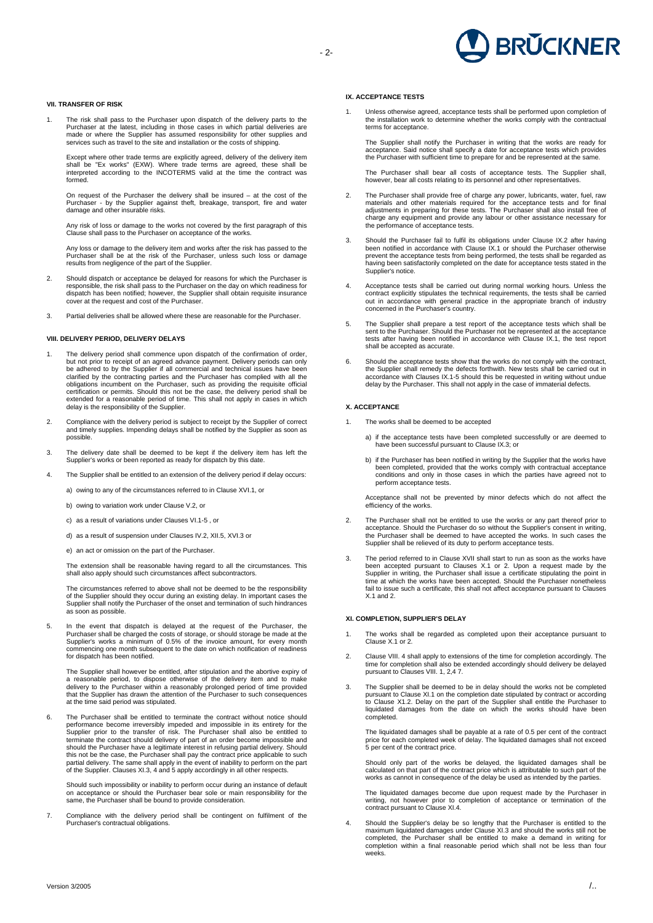# **BRŬCKNER**

# - 2-

#### **VII. TRANSFER OF RISK**

The risk shall pass to the Purchaser upon dispatch of the delivery parts to the Purchaser at the latest, including in those cases in which partial deliveries are<br>made or where the Supplier has assumed responsibility for other supplies and<br>services such as travel to the site and installation or the cos

Except where other trade terms are explicitly agreed, delivery of the delivery item shall be "Ex works" (EXW). Where trade terms are agreed, these shall be interpreted according to the INCOTERMS valid at the time the contract was formed.

On request of the Purchaser the delivery shall be insured – at the cost of the Purchaser - by the Supplier against theft, breakage, transport, fire and water damage and other insurable risks.

Any risk of loss or damage to the works not covered by the first paragraph of this Clause shall pass to the Purchaser on acceptance of the works.

Any loss or damage to the delivery item and works after the risk has passed to the Purchaser shall be at the risk of the Purchaser, unless such loss or damage results from negligence of the part of the Supplier.

- 2. Should dispatch or acceptance be delayed for reasons for which the Purchaser is<br>responsible, the risk shall pass to the Purchaser on the day on which readiness for<br>dispatch has been notified; however, the Supplier shall cover at the request and cost of the Purchase
- 3. Partial deliveries shall be allowed where these are reasonable for the Purchaser.

#### **VIII. DELIVERY PERIOD, DELIVERY DELAYS**

- 1. The delivery period shall commence upon dispatch of the confirmation of order, but not prior to receipt of an agreed advance payment. Delivery periods can only<br>be adhered to by the Supplier if all commercial and technical issues have been<br>clarified by the contracting parties and the Purchaser has com certification or permits. Should this not be the case, the delivery period shall be extended for a reasonable period of time. This shall not apply in cases in which delay is the responsibility of the Supplier.
- 2. Compliance with the delivery period is subject to receipt by the Supplier of correct and timely supplies. Impending delays shall be notified by the Supplier as soon as possible.
- 3. The delivery date shall be deemed to be kept if the delivery item has left the Supplier's works or been reported as ready for dispatch by this date.
- 4. The Supplier shall be entitled to an extension of the delivery period if delay occurs:
	- a) owing to any of the circumstances referred to in Clause XVI.1, or
	- b) owing to variation work under Clause V.2, or
	- c) as a result of variations under Clauses VI.1-5 , or
	- d) as a result of suspension under Clauses IV.2, XII.5, XVI.3 or
	- e) an act or omission on the part of the Purchaser.

The extension shall be reasonable having regard to all the circumstances. This shall also apply should such circumstances affect subcontractors.

The circumstances referred to above shall not be deemed to be the responsibility of the Supplier should they occur during an existing delay. In important cases the Supplier shall notify the Purchaser of the onset and termination of such hindrances as soon as possible.

5. In the event that dispatch is delayed at the request of the Purchaser, the<br>Purchaser shall be charged the costs of storage, or should storage be made at the<br>Supplier's works a minimum of 0.5% of the invoice amount, for commencing one month subsequent to the date on which notification of readiness for dispatch has been notified.

The Supplier shall however be entitled, after stipulation and the abortive expiry of a reasonable period, to dispose otherwise of the delivery item and to make<br>delivery to the Purchaser within a reasonably prolonged period of time provided<br>that the Supplier has drawn the attention of the Purchaser to such

The Purchaser shall be entitled to terminate the contract without notice should performance become irreversibly impeded and impossible in its entirety for the Supplier prior to the transfer of risk. The Purchaser shall also be entitled to terminate the contract should delivery of part of an order become impossible and<br>should the Purchaser have a legitimate interest in refusing partial delivery. Should<br>this not be the case, the Purchaser shall pay the contra partial delivery. The same shall apply in the event of inability to perform on the part of the Supplier. Clauses XI.3, 4 and 5 apply accordingly in all other respects.

Should such impossibility or inability to perform occur during an instance of default on acceptance or should the Purchaser bear sole or main responsibility for the same, the Purchaser shall be bound to provide consideration.

7. Compliance with the delivery period shall be contingent on fulfilment of the Purchaser's contractual obligations.

# **IX. ACCEPTANCE TESTS**

1. Unless otherwise agreed, acceptance tests shall be performed upon completion of the installation work to determine whether the works comply with the contractual terms for acceptance.

The Supplier shall notify the Purchaser in writing that the works are ready for acceptance. Said notice shall specify a date for acceptance tests which provides the Purchaser with sufficient time to prepare for and be represented at the same.

The Purchaser shall bear all costs of acceptance tests. The Supplier shall, however, bear all costs relating to its personnel and other representatives.

- 2. The Purchaser shall provide free of charge any power, lubricants, water, fuel, raw materials and other materials required for the acceptance tests and for final adjustments in preparing for these tests. The Purchaser sh
- 3. Should the Purchaser fail to fulfil its obligations under Clause IX.2 after having been notified in accordance with Clause IX.1 or should the Purchaser otherwise<br>prevent the acceptance tests from being performed, the tests shall be regarded as<br>having been satisfactorily completed on the date for acceptan Supplier's notice.
- 4. Acceptance tests shall be carried out during normal working hours. Unless the contract explicitly stipulates the technical requirements, the tests shall be carried out in accordance with general practice in the appropriate branch of industry concerned in the Purchaser's country.
- 5. The Supplier shall prepare a test report of the acceptance tests which shall be<br>sent to the Purchaser. Should the Purchaser not be represented at the acceptance<br>tests after having been notified in accordance with Clause shall be accepted as accurate.
- 6. Should the acceptance tests show that the works do not comply with the contract, the Supplier shall remedy the defects forthwith. New tests shall be carried out in accordance with Clauses IX.1-5 should this be requested

### **X. ACCEPTANCE**

- 1. The works shall be deemed to be accepted
	- a) if the acceptance tests have been completed successfully or are deemed to have been successful pursuant to Clause IX.3; or
	- b) if the Purchaser has been notified in writing by the Supplier that the works have been completed, provided that the works comply with contractual acceptance conditions and only in those cases in which the parties have agreed not to perform acceptance tests.

Acceptance shall not be prevented by minor defects which do not affect the efficiency of the works.

- 2. The Purchaser shall not be entitled to use the works or any part thereof prior to<br>acceptance. Should the Purchaser do so without the Supplier's consent in writing,<br>the Purchaser shall be deemed to have accepted the work Supplier shall be relieved of its duty to perform acceptance tests.
- 3. The period referred to in Clause XVII shall start to run as soon as the works have been accepted pursuant to Clauses X.1 or 2. Upon a request made by the Supplier in writing, the Purchaser shall issue a certificate stipulating the point in<br>time at which the works have been accepted. Should the Purchaser nonetheless<br>fail to issue such a certificate, this shall not affect acc  $X.1$  and  $2.$

#### **XI. COMPLETION, SUPPLIER'S DELAY**

- The works shall be regarded as completed upon their acceptance pursuant to Clause X.1 or 2.
- 2. Clause VIII. 4 shall apply to extensions of the time for completion accordingly. The time for completion shall also be extended accordingly should delivery be delayed pursuant to Clauses VIII. 1, 2,4 7.
- 3. The Supplier shall be deemed to be in delay should the works not be completed pursuant to Clause XI.1 on the completion date stipulated by contract or according<br>to Clause X1.2. Delay on the part of the Supplier shall entitle the Purchaser to<br>liquidated damages from the date on which the work completed.

The liquidated damages shall be payable at a rate of 0.5 per cent of the contract price for each completed week of delay. The liquidated damages shall not exceed 5 per cent of the contract price.

Should only part of the works be delayed, the liquidated damages shall be calculated on that part of the contract price which is attributable to such part of the works as cannot in consequence of the delay be used as intended by the parties.

The liquidated damages become due upon request made by the Purchaser in writing, not however prior to completion of acceptance or termination of the contract pursuant to Clause XI.4.

4. Should the Supplier's delay be so lengthy that the Purchaser is entitled to the maximum liquidated damages under Clause XI.3 and should the works still not be<br>completed, the Purchaser shall be entitled to make a demand in writing for<br>completion within a final reasonable period which shall not be less weeks.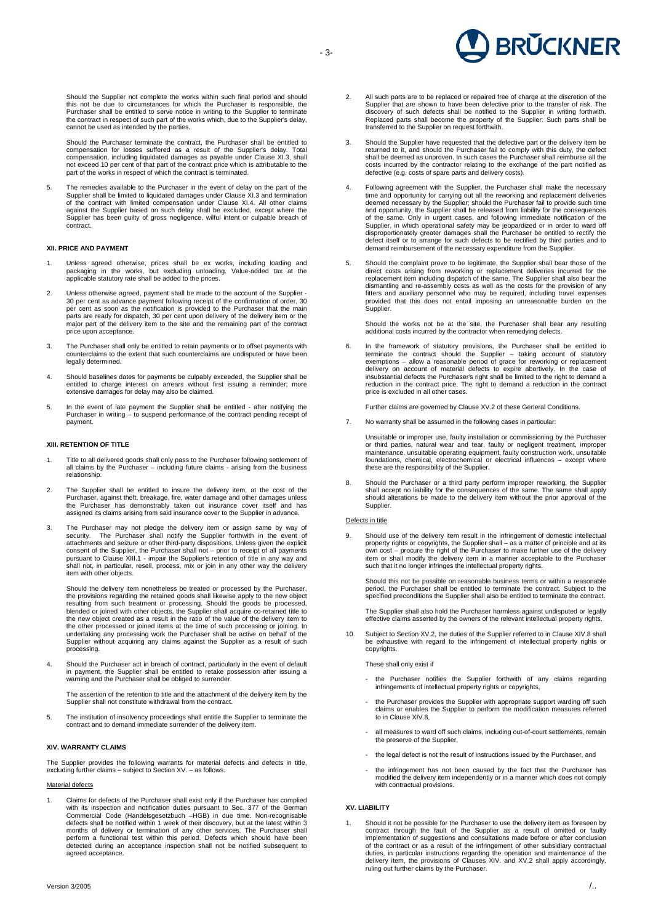**BRÜCKNER** 

Should the Supplier not complete the works within such final period and should<br>this not be due to circumstances for which the Purchaser is responsible, the<br>Purchaser shall be entitled to serve notice in writing to the Supp cannot be used as intended by the parties.

Should the Purchaser terminate the contract, the Purchaser shall be entitled to compensation for losses suffered as a result of the Supplier's delay. Total compensation, including liquidated damages as payable under Clause XI.3, shall not exceed 10 per cent of that part of the contract price which is attributable to the part of the works in respect of which the contract is terminated.

5. The remedies available to the Purchaser in the event of delay on the part of the<br>Supplier shall be limited to liquidated damages under Clause XI.3 and termination<br>of the contract with limited compensation under Clause X against the Supplier based on such delay shall be excluded, except where the Supplier has been guilty of gross negligence, wilful intent or culpable breach of contract.

# **XII. PRICE AND PAYMENT**

- 1. Unless agreed otherwise, prices shall be ex works, including loading and packaging in the works, but excluding unloading. Value-added tax at the applicable statutory rate shall be added to the prices.
- 2. Unless otherwise agreed, payment shall be made to the account of the Supplier 30 per cent as advance payment following receipt of the confirmation of order, 30 per cent as soon as the notification is provided to the Purchaser that the main parts are ready for dispatch, 30 per cent upon delivery of the delivery item or the major part of the delivery item to the site and the remaining part of the contract price upon acceptance.
- 3. The Purchaser shall only be entitled to retain payments or to offset payments with counterclaims to the extent that such counterclaims are undisputed or have been legally determined.
- 4. Should baselines dates for payments be culpably exceeded, the Supplier shall be entitled to charge interest on arrears without first issuing a reminder; more extensive damages for delay may also be claimed.
- 5. In the event of late payment the Supplier shall be entitled after notifying the Purchaser in writing – to suspend performance of the contract pending receipt of payment.

#### **XIII. RETENTION OF TITLE**

- 1. Title to all delivered goods shall only pass to the Purchaser following settlement of all claims by the Purchaser including future claims arising from the business relationship.
- 2. The Supplier shall be entitled to insure the delivery item, at the cost of the Purchaser, against theft, breakage, fire, water damage and other damages unless the Purchaser has demonstrably taken out insurance cover itself and has assigned its claims arising from said insurance cover to the Supplier in advance.
- 3. The Purchaser may not pledge the delivery item or assign same by way of security. The Purchaser shall notify the Supplier forthwith in the event of attachments and seizure or other third-party dispositions. Unless given item with other objects.

Should the delivery item nonetheless be treated or processed by the Purchaser, the provisions regarding the retained goods shall likewise apply to the new object resulting from such treatment or processing. Should the goods be processed, blended or joined with other objects, the Supplier shall acquire co-retained title to the new object created as a result in the ratio of the value of the delivery item to the other processed or joined items at the time of such processing or joining. In<br>undertaking any processing work the Purchaser shall be active on behalf of the<br>Supplier without acquiring any claims against the Supplier as processing.

4. Should the Purchaser act in breach of contract, particularly in the event of default in payment, the Supplier shall be entitled to retake possession after issuing a warning and the Purchaser shall be obliged to surrender.

The assertion of the retention to title and the attachment of the delivery item by the Supplier shall not constitute withdrawal from the contract.

5. The institution of insolvency proceedings shall entitle the Supplier to terminate the contract and to demand immediate surrender of the delivery item.

#### **XIV. WARRANTY CLAIMS**

The Supplier provides the following warrants for material defects and defects in title, excluding further claims – subject to Section XV. – as follows.

Material defects

1. Claims for defects of the Purchaser shall exist only if the Purchaser has complied with its inspection and notification duties pursuant to Sec. 377 of the German Commercial Code (Handelsgesetzbuch –HGB) in due time. Non-recognisable defects shall be notified within 1 week of their discovery, but at the latest within 3 months of delivery or termination of any other services. The Purchaser shall perform a functional test within this period. Defects which should have been detected during an acceptance inspection shall not be notified subsequent to agreed acceptance.

- 2. All such parts are to be replaced or repaired free of charge at the discretion of the Supplier that are shown to have been defective prior to the transfer of risk. The discovery of such defects shall be notified to the transferred to the Supplier on request forthwith.
- 3. Should the Supplier have requested that the defective part or the delivery item be returned to it, and should the Purchaser fail to comply with this duty, the defect shall be deemed as unproven. In such cases the Purchaser shall reimburse all the costs incurred by the contractor relating to the exchange of the part notified as defective (e.g. costs of spare parts and delivery costs).
- 4. Following agreement with the Supplier, the Purchaser shall make the necessary<br>time and opportunity for carrying out all the reworking and replacement deliveries<br>deemed necessary by the Supplier; should the Purchaser fai and opportunity, the Supplier shall be released from liability for the consequences<br>of the same. Only in urgent cases, and following immediate notification of the<br>Supplier, in which operational safety may be jeopardized or
- 5. Should the complaint prove to be legitimate, the Supplier shall bear those of the direct costs arising from reworking or replacement deliveries incurred for the replacement item including dispatch of the same. The Supplier shall also bear the dismantling and re-assembly costs as well as the costs for the provision of any fitters and auxiliary personnel who may be required, including travel expenses provided that this does not entail imposing an unreasonable burden on the Supplier.

Should the works not be at the site, the Purchaser shall bear any resulting additional costs incurred by the contractor when remedying defects.

6. In the framework of statutory provisions, the Purchaser shall be entitled to terminate the contract should the Supplier – taking account of statutory exemptions – allow a reasonable period of grace for reworking or replacement<br>delivery on account of material defects to expire abortively. In the case of<br>insubstantial defects the Purchaser's right shall be limited to the reduction in the contract price. The right to demand a reduction in the contract price is excluded in all other cases.

Further claims are governed by Clause XV.2 of these General Conditions.

7. No warranty shall be assumed in the following cases in particular:

Unsuitable or improper use, faulty installation or commissioning by the Purchaser or third parties, natural wear and tear, faulty or negligent treatment, improper maintenance, unsuitable operating equipment, faulty construction work, unsuitable foundations, chemical, electrochemical or electrical influences – except where these are the responsibility of the Supplier.

8. Should the Purchaser or a third party perform improper reworking, the Supplier shall accept no liability for the consequences of the same. The same shall apply should alterations be made to the delivery item without the prior approval of the Supplier.

### Defects in title

Should use of the delivery item result in the infringement of domestic intellectual property rights or copyrights, the Supplier shall – as a matter of principle and at its<br>own cost – procure the right of the Purchaser to make further use of the delivery<br>item or shall modify the delivery item in a manner a

Should this not be possible on reasonable business terms or within a reasonable period, the Purchaser shall be entitled to terminate the contract. Subject to the specified preconditions the Supplier shall also be entitled to terminate the contract.

The Supplier shall also hold the Purchaser harmless against undisputed or legally effective claims asserted by the owners of the relevant intellectual property rights.

Subject to Section XV.2, the duties of the Supplier referred to in Clause XIV.8 shall be exhaustive with regard to the infringement of intellectual property rights or copyrights.

These shall only exist if

- the Purchaser notifies the Supplier forthwith of any claims regarding infringements of intellectual property rights or copyrights,
- the Purchaser provides the Supplier with appropriate support warding off such claims or enables the Supplier to perform the modification measures referred to in Clause XIV.8,
- all measures to ward off such claims, including out-of-court settlements, remain the preserve of the Supplier,
- the legal defect is not the result of instructions issued by the Purchaser, and
- the infringement has not been caused by the fact that the Purchaser has modified the delivery item independently or in a manner which does not comply with contractual provisions.

#### **XV. LIABILITY**

1. Should it not be possible for the Purchaser to use the delivery item as foreseen by contract through the fault of the Supplier as a result of omitted or faulty implementation of suggestions and consultations made before duties, in particular instructions regarding the operation and maintenance of the<br>delivery item, the provisions of Clauses XIV. and XV.2 shall apply accordingly,<br>ruling out further claims by the Purchaser.